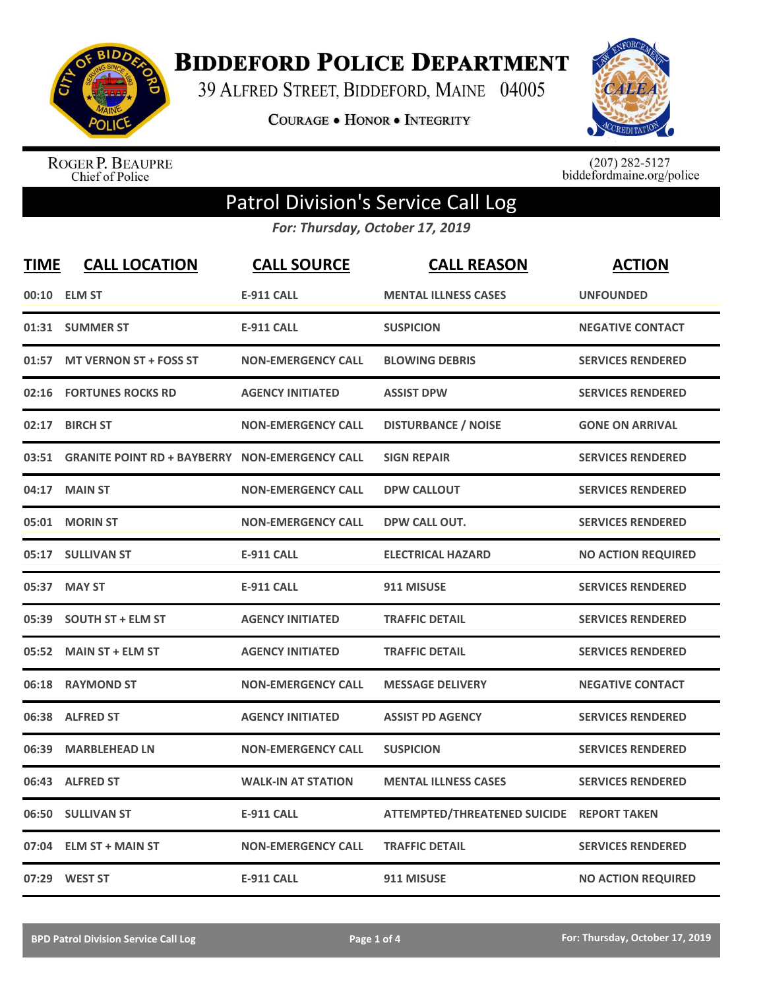

**BIDDEFORD POLICE DEPARTMENT** 

39 ALFRED STREET, BIDDEFORD, MAINE 04005

**COURAGE . HONOR . INTEGRITY** 



ROGER P. BEAUPRE<br>Chief of Police

 $(207)$  282-5127<br>biddefordmaine.org/police

## Patrol Division's Service Call Log

*For: Thursday, October 17, 2019*

| <b>TIME</b> | <b>CALL LOCATION</b>                                  | <b>CALL SOURCE</b>        | <b>CALL REASON</b>                  | <b>ACTION</b>             |
|-------------|-------------------------------------------------------|---------------------------|-------------------------------------|---------------------------|
|             | 00:10 ELM ST                                          | <b>E-911 CALL</b>         | <b>MENTAL ILLNESS CASES</b>         | <b>UNFOUNDED</b>          |
|             | 01:31 SUMMER ST                                       | <b>E-911 CALL</b>         | <b>SUSPICION</b>                    | <b>NEGATIVE CONTACT</b>   |
| 01:57       | <b>MT VERNON ST + FOSS ST</b>                         | <b>NON-EMERGENCY CALL</b> | <b>BLOWING DEBRIS</b>               | <b>SERVICES RENDERED</b>  |
| 02:16       | <b>FORTUNES ROCKS RD</b>                              | <b>AGENCY INITIATED</b>   | <b>ASSIST DPW</b>                   | <b>SERVICES RENDERED</b>  |
| 02:17       | <b>BIRCH ST</b>                                       | <b>NON-EMERGENCY CALL</b> | <b>DISTURBANCE / NOISE</b>          | <b>GONE ON ARRIVAL</b>    |
| 03:51       | <b>GRANITE POINT RD + BAYBERRY NON-EMERGENCY CALL</b> |                           | <b>SIGN REPAIR</b>                  | <b>SERVICES RENDERED</b>  |
| 04:17       | <b>MAIN ST</b>                                        | <b>NON-EMERGENCY CALL</b> | <b>DPW CALLOUT</b>                  | <b>SERVICES RENDERED</b>  |
| 05:01       | <b>MORIN ST</b>                                       | <b>NON-EMERGENCY CALL</b> | DPW CALL OUT.                       | <b>SERVICES RENDERED</b>  |
|             | 05:17 SULLIVAN ST                                     | <b>E-911 CALL</b>         | <b>ELECTRICAL HAZARD</b>            | <b>NO ACTION REQUIRED</b> |
| 05:37       | <b>MAY ST</b>                                         | <b>E-911 CALL</b>         | 911 MISUSE                          | <b>SERVICES RENDERED</b>  |
| 05:39       | <b>SOUTH ST + ELM ST</b>                              | <b>AGENCY INITIATED</b>   | <b>TRAFFIC DETAIL</b>               | <b>SERVICES RENDERED</b>  |
| 05:52       | <b>MAIN ST + ELM ST</b>                               | <b>AGENCY INITIATED</b>   | <b>TRAFFIC DETAIL</b>               | <b>SERVICES RENDERED</b>  |
| 06:18       | <b>RAYMOND ST</b>                                     | <b>NON-EMERGENCY CALL</b> | <b>MESSAGE DELIVERY</b>             | <b>NEGATIVE CONTACT</b>   |
| 06:38       | <b>ALFRED ST</b>                                      | <b>AGENCY INITIATED</b>   | <b>ASSIST PD AGENCY</b>             | <b>SERVICES RENDERED</b>  |
| 06:39       | <b>MARBLEHEAD LN</b>                                  | <b>NON-EMERGENCY CALL</b> | <b>SUSPICION</b>                    | <b>SERVICES RENDERED</b>  |
|             | 06:43 ALFRED ST                                       | <b>WALK-IN AT STATION</b> | <b>MENTAL ILLNESS CASES</b>         | <b>SERVICES RENDERED</b>  |
| 06:50       | <b>SULLIVAN ST</b>                                    | <b>E-911 CALL</b>         | <b>ATTEMPTED/THREATENED SUICIDE</b> | <b>REPORT TAKEN</b>       |
| 07:04       | <b>ELM ST + MAIN ST</b>                               | <b>NON-EMERGENCY CALL</b> | <b>TRAFFIC DETAIL</b>               | <b>SERVICES RENDERED</b>  |
|             | 07:29 WEST ST                                         | <b>E-911 CALL</b>         | 911 MISUSE                          | <b>NO ACTION REQUIRED</b> |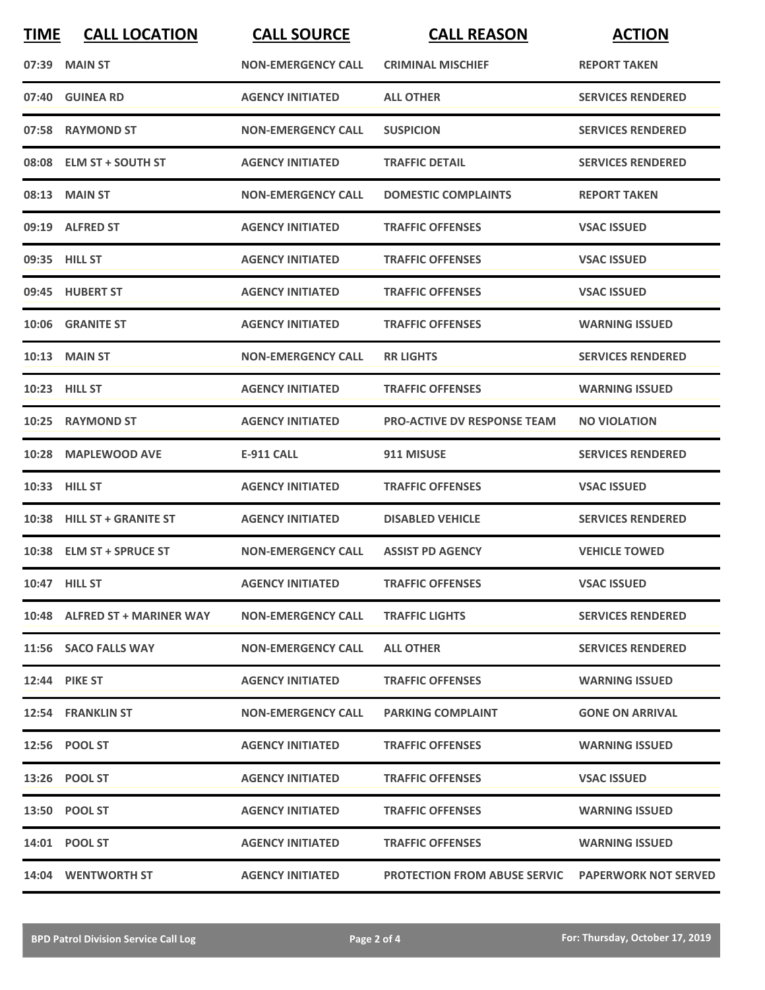| <b>TIME</b> | <b>CALL LOCATION</b>          | <b>CALL SOURCE</b>        | <b>CALL REASON</b>                                       | <b>ACTION</b>            |
|-------------|-------------------------------|---------------------------|----------------------------------------------------------|--------------------------|
|             | 07:39 MAIN ST                 | <b>NON-EMERGENCY CALL</b> | <b>CRIMINAL MISCHIEF</b>                                 | <b>REPORT TAKEN</b>      |
| 07:40       | <b>GUINEA RD</b>              | <b>AGENCY INITIATED</b>   | <b>ALL OTHER</b>                                         | <b>SERVICES RENDERED</b> |
|             | 07:58 RAYMOND ST              | <b>NON-EMERGENCY CALL</b> | <b>SUSPICION</b>                                         | <b>SERVICES RENDERED</b> |
|             | 08:08 ELM ST + SOUTH ST       | <b>AGENCY INITIATED</b>   | <b>TRAFFIC DETAIL</b>                                    | <b>SERVICES RENDERED</b> |
|             | 08:13 MAIN ST                 | <b>NON-EMERGENCY CALL</b> | <b>DOMESTIC COMPLAINTS</b>                               | <b>REPORT TAKEN</b>      |
|             | 09:19 ALFRED ST               | <b>AGENCY INITIATED</b>   | <b>TRAFFIC OFFENSES</b>                                  | <b>VSAC ISSUED</b>       |
|             | 09:35 HILL ST                 | <b>AGENCY INITIATED</b>   | <b>TRAFFIC OFFENSES</b>                                  | <b>VSAC ISSUED</b>       |
|             | 09:45 HUBERT ST               | <b>AGENCY INITIATED</b>   | <b>TRAFFIC OFFENSES</b>                                  | <b>VSAC ISSUED</b>       |
|             | 10:06 GRANITE ST              | <b>AGENCY INITIATED</b>   | <b>TRAFFIC OFFENSES</b>                                  | <b>WARNING ISSUED</b>    |
|             | <b>10:13 MAIN ST</b>          | <b>NON-EMERGENCY CALL</b> | <b>RR LIGHTS</b>                                         | <b>SERVICES RENDERED</b> |
|             | <b>10:23 HILL ST</b>          | <b>AGENCY INITIATED</b>   | <b>TRAFFIC OFFENSES</b>                                  | <b>WARNING ISSUED</b>    |
| 10:25       | <b>RAYMOND ST</b>             | <b>AGENCY INITIATED</b>   | <b>PRO-ACTIVE DV RESPONSE TEAM</b>                       | <b>NO VIOLATION</b>      |
| 10:28       | <b>MAPLEWOOD AVE</b>          | <b>E-911 CALL</b>         | 911 MISUSE                                               | <b>SERVICES RENDERED</b> |
|             | 10:33 HILL ST                 | <b>AGENCY INITIATED</b>   | <b>TRAFFIC OFFENSES</b>                                  | <b>VSAC ISSUED</b>       |
|             | 10:38 HILL ST + GRANITE ST    | <b>AGENCY INITIATED</b>   | <b>DISABLED VEHICLE</b>                                  | <b>SERVICES RENDERED</b> |
|             | 10:38 ELM ST + SPRUCE ST      | <b>NON-EMERGENCY CALL</b> | <b>ASSIST PD AGENCY</b>                                  | <b>VEHICLE TOWED</b>     |
|             | 10:47 HILL ST                 | <b>AGENCY INITIATED</b>   | <b>TRAFFIC OFFENSES</b>                                  | <b>VSAC ISSUED</b>       |
|             | 10:48 ALFRED ST + MARINER WAY | <b>NON-EMERGENCY CALL</b> | <b>TRAFFIC LIGHTS</b>                                    | <b>SERVICES RENDERED</b> |
|             | 11:56 SACO FALLS WAY          | <b>NON-EMERGENCY CALL</b> | <b>ALL OTHER</b>                                         | <b>SERVICES RENDERED</b> |
|             | <b>12:44 PIKE ST</b>          | <b>AGENCY INITIATED</b>   | <b>TRAFFIC OFFENSES</b>                                  | <b>WARNING ISSUED</b>    |
|             | 12:54 FRANKLIN ST             | <b>NON-EMERGENCY CALL</b> | <b>PARKING COMPLAINT</b>                                 | <b>GONE ON ARRIVAL</b>   |
|             | 12:56 POOL ST                 | <b>AGENCY INITIATED</b>   | <b>TRAFFIC OFFENSES</b>                                  | <b>WARNING ISSUED</b>    |
|             | 13:26 POOL ST                 | <b>AGENCY INITIATED</b>   | <b>TRAFFIC OFFENSES</b>                                  | <b>VSAC ISSUED</b>       |
|             | 13:50 POOL ST                 | <b>AGENCY INITIATED</b>   | <b>TRAFFIC OFFENSES</b>                                  | <b>WARNING ISSUED</b>    |
|             | 14:01 POOL ST                 | <b>AGENCY INITIATED</b>   | <b>TRAFFIC OFFENSES</b>                                  | <b>WARNING ISSUED</b>    |
|             | 14:04 WENTWORTH ST            | <b>AGENCY INITIATED</b>   | <b>PROTECTION FROM ABUSE SERVIC PAPERWORK NOT SERVED</b> |                          |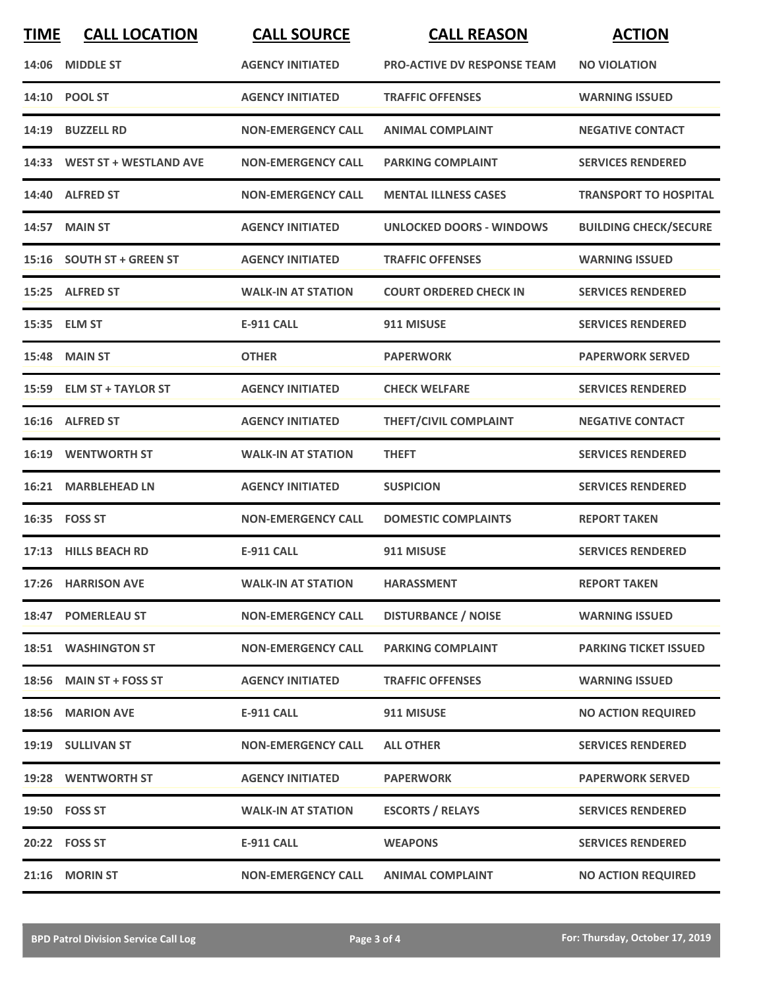| <b>TIME</b> | <b>CALL LOCATION</b>         | <b>CALL SOURCE</b>        | <b>CALL REASON</b>                 | <b>ACTION</b>                |
|-------------|------------------------------|---------------------------|------------------------------------|------------------------------|
| 14:06       | <b>MIDDLE ST</b>             | <b>AGENCY INITIATED</b>   | <b>PRO-ACTIVE DV RESPONSE TEAM</b> | <b>NO VIOLATION</b>          |
|             | 14:10 POOL ST                | <b>AGENCY INITIATED</b>   | <b>TRAFFIC OFFENSES</b>            | <b>WARNING ISSUED</b>        |
|             | 14:19 BUZZELL RD             | <b>NON-EMERGENCY CALL</b> | <b>ANIMAL COMPLAINT</b>            | <b>NEGATIVE CONTACT</b>      |
|             | 14:33 WEST ST + WESTLAND AVE | <b>NON-EMERGENCY CALL</b> | <b>PARKING COMPLAINT</b>           | <b>SERVICES RENDERED</b>     |
|             | 14:40 ALFRED ST              | <b>NON-EMERGENCY CALL</b> | <b>MENTAL ILLNESS CASES</b>        | <b>TRANSPORT TO HOSPITAL</b> |
|             | <b>14:57 MAIN ST</b>         | <b>AGENCY INITIATED</b>   | <b>UNLOCKED DOORS - WINDOWS</b>    | <b>BUILDING CHECK/SECURE</b> |
|             | 15:16 SOUTH ST + GREEN ST    | <b>AGENCY INITIATED</b>   | <b>TRAFFIC OFFENSES</b>            | <b>WARNING ISSUED</b>        |
|             | 15:25 ALFRED ST              | <b>WALK-IN AT STATION</b> | <b>COURT ORDERED CHECK IN</b>      | <b>SERVICES RENDERED</b>     |
|             | 15:35 ELM ST                 | <b>E-911 CALL</b>         | 911 MISUSE                         | <b>SERVICES RENDERED</b>     |
|             | <b>15:48 MAIN ST</b>         | <b>OTHER</b>              | <b>PAPERWORK</b>                   | <b>PAPERWORK SERVED</b>      |
|             | 15:59 ELM ST + TAYLOR ST     | <b>AGENCY INITIATED</b>   | <b>CHECK WELFARE</b>               | <b>SERVICES RENDERED</b>     |
|             | 16:16 ALFRED ST              | <b>AGENCY INITIATED</b>   | THEFT/CIVIL COMPLAINT              | <b>NEGATIVE CONTACT</b>      |
| 16:19       | <b>WENTWORTH ST</b>          | <b>WALK-IN AT STATION</b> | <b>THEFT</b>                       | <b>SERVICES RENDERED</b>     |
| 16:21       | <b>MARBLEHEAD LN</b>         | <b>AGENCY INITIATED</b>   | <b>SUSPICION</b>                   | <b>SERVICES RENDERED</b>     |
|             | 16:35    FOSS ST             | <b>NON-EMERGENCY CALL</b> | <b>DOMESTIC COMPLAINTS</b>         | <b>REPORT TAKEN</b>          |
|             | 17:13 HILLS BEACH RD         | <b>E-911 CALL</b>         | 911 MISUSE                         | <b>SERVICES RENDERED</b>     |
|             | 17:26 HARRISON AVE           | <b>WALK-IN AT STATION</b> | <b>HARASSMENT</b>                  | <b>REPORT TAKEN</b>          |
|             | 18:47 POMERLEAU ST           | <b>NON-EMERGENCY CALL</b> | <b>DISTURBANCE / NOISE</b>         | <b>WARNING ISSUED</b>        |
|             | <b>18:51 WASHINGTON ST</b>   | <b>NON-EMERGENCY CALL</b> | <b>PARKING COMPLAINT</b>           | <b>PARKING TICKET ISSUED</b> |
|             | 18:56 MAIN ST + FOSS ST      | <b>AGENCY INITIATED</b>   | <b>TRAFFIC OFFENSES</b>            | <b>WARNING ISSUED</b>        |
|             | 18:56 MARION AVE             | <b>E-911 CALL</b>         | 911 MISUSE                         | <b>NO ACTION REQUIRED</b>    |
|             | 19:19 SULLIVAN ST            | <b>NON-EMERGENCY CALL</b> | <b>ALL OTHER</b>                   | <b>SERVICES RENDERED</b>     |
|             | 19:28 WENTWORTH ST           | <b>AGENCY INITIATED</b>   | <b>PAPERWORK</b>                   | <b>PAPERWORK SERVED</b>      |
|             | 19:50 FOSS ST                | <b>WALK-IN AT STATION</b> | <b>ESCORTS / RELAYS</b>            | <b>SERVICES RENDERED</b>     |
|             | 20:22    FOSS ST             | <b>E-911 CALL</b>         | <b>WEAPONS</b>                     | <b>SERVICES RENDERED</b>     |
|             | 21:16 MORIN ST               | <b>NON-EMERGENCY CALL</b> | <b>ANIMAL COMPLAINT</b>            | <b>NO ACTION REQUIRED</b>    |